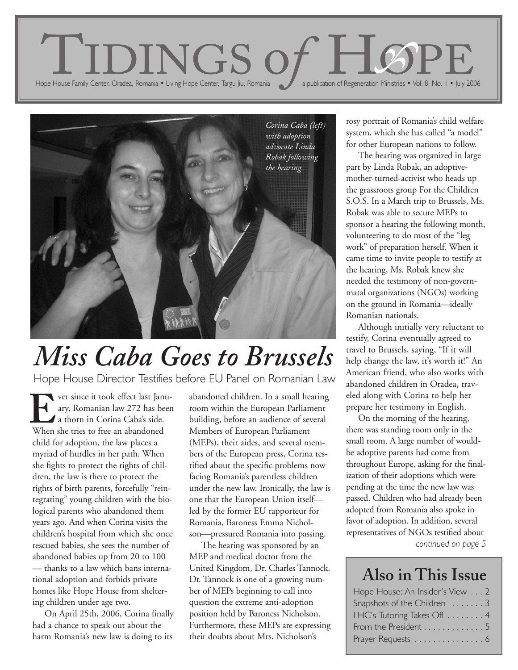



## *Miss Caba Goes to Brussels*

Hope House Director Testifies before EU Panel on Romanian Law

ver since it took effect last January, Romanian law 272 has been a thorn in Corina Caba's side. Ver since it took effect last Jan<br>ary, Romanian law 272 has be<br>a thorn in Corina Caba's side.<br>When she tries to free an abandoned child for adoption, the law places a myriad of hurdles in her path. When she fights to protect the rights of children, the law is there to protect the rights of birth parents, forcefully "reintegrating" young children with the biological parents who abandoned them years ago. And when Corina visits the children's hospital from which she once rescued babies, she sees the number of abandoned babies up from 20 to 100 — thanks to a law which bans international adoption and forbids private homes like Hope House from sheltering children under age two.

On April 25th, 2006, Corina finally had a chance to speak out about the harm Romania's new law is doing to its

abandoned children. In a small hearing room within the European Parliament building, before an audience of several Members of European Parliament (MEPs), their aides, and several members of the European press, Corina testified about the specific problems now facing Romania's parentless children under the new law. Ironically, the law is one that the European Union itself led by the former EU rapporteur for Romania, Baroness Emma Nicholson—pressured Romania into passing.

The hearing was sponsored by an MEP and medical doctor from the United Kingdom, Dr. Charles Tannock. Dr. Tannock is one of a growing number of MEPs beginning to call into question the extreme anti-adoption position held by Baroness Nicholson. Furthermore, these MEPs are expressing their doubts about Mrs. Nicholson's

rosy portrait of Romania's child welfare system, which she has called "a model" for other European nations to follow.

The hearing was organized in large part by Linda Robak, an adoptivemother-turned-activist who heads up the grassroots group For the Children S.O.S. In a March trip to Brussels, Ms. Robak was able to secure MEPs to sponsor a hearing the following month, volunteering to do most of the "leg work" of preparation herself. When it came time to invite people to testify at the hearing, Ms. Robak knew she needed the testimony of non-governmatal organizations (NGOs) working on the ground in Romania—ideally Romanian nationals.

Although initially very reluctant to testify, Corina eventually agreed to travel to Brussels, saying, "If it will help change the law, it's worth it!" An American friend, who also works with abandoned children in Oradea, traveled along with Corina to help her prepare her testimony in English.

On the morning of the hearing, there was standing room only in the small room. A large number of wouldbe adoptive parents had come from throughout Europe, asking for the finalization of their adoptions which were pending at the time the new law was passed. Children who had already been adopted from Romania also spoke in favor of adoption. In addition, several representatives of NGOs testified about *continued on page 5*

#### **Also in This Issue**

| Hope House: An Insider's View 2 |
|---------------------------------|
| Snapshots of the Children 3     |
| LHC's Tutoring Takes Off 4      |
| From the President 5            |
| Prayer Requests 6               |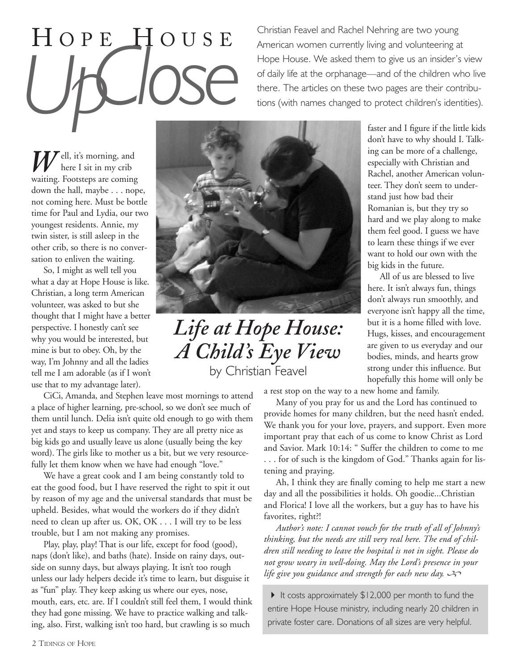# H OPE H OUSE *UpClose*

Christian Feavel and Rachel Nehring are two young American women currently living and volunteering at Hope House. We asked them to give us an insider's view of daily life at the orphanage—and of the children who live there. The articles on these two pages are their contributions (with names changed to protect children's identities).

 $\mathcal{F}$ ell, it's morning, and here I sit in my crib **W** ell, it's morning, and<br>waiting. Footsteps are coming down the hall, maybe . . . nope, not coming here. Must be bottle time for Paul and Lydia, our two youngest residents. Annie, my twin sister, is still asleep in the other crib, so there is no conversation to enliven the waiting.

So, I might as well tell you what a day at Hope House is like. Christian, a long term American volunteer, was asked to but she thought that I might have a better perspective. I honestly can't see why you would be interested, but mine is but to obey. Oh, by the way, I'm Johnny and all the ladies tell me I am adorable (as if I won't use that to my advantage later).

CiCi, Amanda, and Stephen leave most mornings to attend a place of higher learning, pre-school, so we don't see much of them until lunch. Delia isn't quite old enough to go with them yet and stays to keep us company. They are all pretty nice as big kids go and usually leave us alone (usually being the key word). The girls like to mother us a bit, but we very resourcefully let them know when we have had enough "love."

We have a great cook and I am being constantly told to eat the good food, but I have reserved the right to spit it out by reason of my age and the universal standards that must be upheld. Besides, what would the workers do if they didn't need to clean up after us. OK, OK . . . I will try to be less trouble, but I am not making any promises.

Play, play, play! That is our life, except for food (good), naps (don't like), and baths (hate). Inside on rainy days, outside on sunny days, but always playing. It isn't too rough unless our lady helpers decide it's time to learn, but disguise it as "fun" play. They keep asking us where our eyes, nose, mouth, ears, etc. are. If I couldn't still feel them, I would think they had gone missing. We have to practice walking and talking, also. First, walking isn't too hard, but crawling is so much



*Life at Hope House: A Child's Eye View* by Christian Feavel

faster and I figure if the little kids don't have to why should I. Talking can be more of a challenge, especially with Christian and Rachel, another American volunteer. They don't seem to understand just how bad their Romanian is, but they try so hard and we play along to make them feel good. I guess we have to learn these things if we ever want to hold our own with the big kids in the future.

All of us are blessed to live here. It isn't always fun, things don't always run smoothly, and everyone isn't happy all the time, but it is a home filled with love. Hugs, kisses, and encouragement are given to us everyday and our bodies, minds, and hearts grow strong under this influence. But hopefully this home will only be

a rest stop on the way to a new home and family.

Many of you pray for us and the Lord has continued to provide homes for many children, but the need hasn't ended. We thank you for your love, prayers, and support. Even more important pray that each of us come to know Christ as Lord and Savior. Mark 10:14: " Suffer the children to come to me . . . for of such is the kingdom of God." Thanks again for listening and praying.

Ah, I think they are finally coming to help me start a new day and all the possibilities it holds. Oh goodie...Christian and Florica! I love all the workers, but a guy has to have his favorites, right?!

*Author's note: I cannot vouch for the truth of all of Johnny's thinking, but the needs are still very real here. The end of children still needing to leave the hospital is not in sight. Please do not grow weary in well-doing. May the Lord's presence in your life give you guidance and strength for each new day.* 

It costs approximately  $$12,000$  per month to fund the entire Hope House ministry, including nearly 20 children in private foster care. Donations of all sizes are very helpful.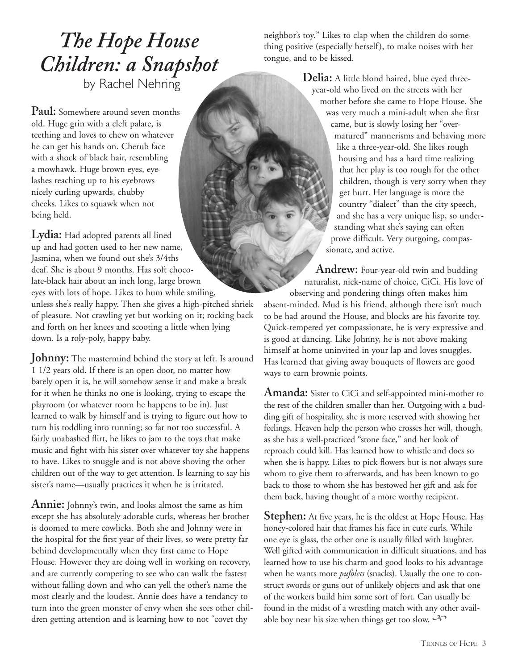#### *The Hope House Children: a Snapshot* by Rachel Nehring

**Paul:** Somewhere around seven months old. Huge grin with a cleft palate, is teething and loves to chew on whatever he can get his hands on. Cherub face with a shock of black hair, resembling a mowhawk. Huge brown eyes, eyelashes reaching up to his eyebrows nicely curling upwards, chubby cheeks. Likes to squawk when not being held.

**Lydia:** Had adopted parents all lined up and had gotten used to her new name, Jasmina, when we found out she's 3/4ths deaf. She is about 9 months. Has soft chocolate-black hair about an inch long, large brown eyes with lots of hope. Likes to hum while smiling, unless she's really happy. Then she gives a high-pitched shriek

of pleasure. Not crawling yet but working on it; rocking back and forth on her knees and scooting a little when lying down. Is a roly-poly, happy baby.

Johnny: The mastermind behind the story at left. Is around 1 1/2 years old. If there is an open door, no matter how barely open it is, he will somehow sense it and make a break for it when he thinks no one is looking, trying to escape the playroom (or whatever room he happens to be in). Just learned to walk by himself and is trying to figure out how to turn his toddling into running; so far not too successful. A fairly unabashed flirt, he likes to jam to the toys that make music and fight with his sister over whatever toy she happens to have. Likes to snuggle and is not above shoving the other children out of the way to get attention. Is learning to say his sister's name—usually practices it when he is irritated.

**Annie:** Johnny's twin, and looks almost the same as him except she has absolutely adorable curls, whereas her brother is doomed to mere cowlicks. Both she and Johnny were in the hospital for the first year of their lives, so were pretty far behind developmentally when they first came to Hope House. However they are doing well in working on recovery, and are currently competing to see who can walk the fastest without falling down and who can yell the other's name the most clearly and the loudest. Annie does have a tendancy to turn into the green monster of envy when she sees other children getting attention and is learning how to not "covet thy

neighbor's toy." Likes to clap when the children do something positive (especially herself), to make noises with her tongue, and to be kissed.

> **Delia:** A little blond haired, blue eyed threeyear-old who lived on the streets with her mother before she came to Hope House. She was very much a mini-adult when she first came, but is slowly losing her "overmatured" mannerisms and behaving more like a three-year-old. She likes rough housing and has a hard time realizing that her play is too rough for the other children, though is very sorry when they get hurt. Her language is more the country "dialect" than the city speech, and she has a very unique lisp, so understanding what she's saying can often prove difficult. Very outgoing, compassionate, and active.

**Andrew:** Four-year-old twin and budding naturalist, nick-name of choice, CiCi. His love of observing and pondering things often makes him absent-minded. Mud is his friend, although there isn't much to be had around the House, and blocks are his favorite toy. Quick-tempered yet compassionate, he is very expressive and is good at dancing. Like Johnny, he is not above making himself at home uninvited in your lap and loves snuggles. Has learned that giving away bouquets of flowers are good ways to earn brownie points.

**Amanda:** Sister to CiCi and self-appointed mini-mother to the rest of the children smaller than her. Outgoing with a budding gift of hospitality, she is more reserved with showing her feelings. Heaven help the person who crosses her will, though, as she has a well-practiced "stone face," and her look of reproach could kill. Has learned how to whistle and does so when she is happy. Likes to pick flowers but is not always sure whom to give them to afterwards, and has been known to go back to those to whom she has bestowed her gift and ask for them back, having thought of a more worthy recipient.

**Stephen:** At five years, he is the oldest at Hope House. Has honey-colored hair that frames his face in cute curls. While one eye is glass, the other one is usually filled with laughter. Well gifted with communication in difficult situations, and has learned how to use his charm and good looks to his advantage when he wants more *pufolets* (snacks). Usually the one to construct swords or guns out of unlikely objects and ask that one of the workers build him some sort of fort. Can usually be found in the midst of a wrestling match with any other available boy near his size when things get too slow.  $\rightarrow$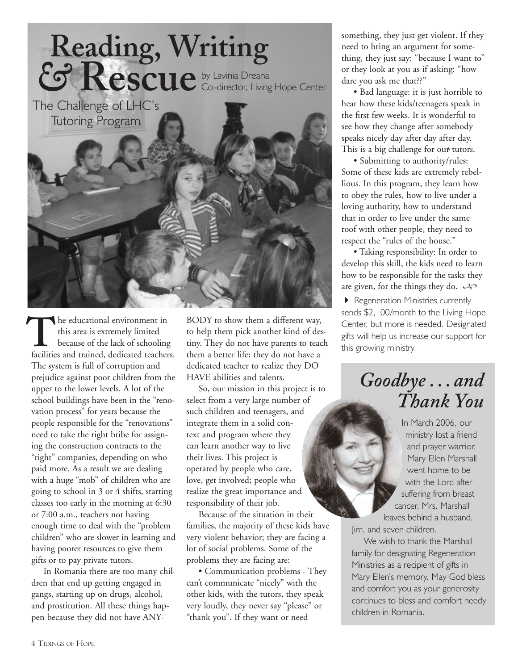

he educational environment in this area is extremely limited because of the lack of schooling **he educational environment in**<br>this area is extremely limited<br>because of the lack of schooling<br>facilities and trained, dedicated teachers. The system is full of corruption and prejudice against poor children from the upper to the lower levels. A lot of the school buildings have been in the "renovation process" for years because the people responsible for the "renovations" need to take the right bribe for assigning the construction contracts to the "right" companies, depending on who paid more. As a result we are dealing with a huge "mob" of children who are going to school in 3 or 4 shifts, starting classes too early in the morning at 6:30 or 7:00 a.m., teachers not having enough time to deal with the "problem children" who are slower in learning and having poorer resources to give them gifts or to pay private tutors.

In Romania there are too many children that end up getting engaged in gangs, starting up on drugs, alcohol, and prostitution. All these things happen because they did not have ANY-

BODY to show them a different way, to help them pick another kind of destiny. They do not have parents to teach them a better life; they do not have a dedicated teacher to realize they DO HAVE abilities and talents.

So, our mission in this project is to select from a very large number of such children and teenagers, and integrate them in a solid context and program where they can learn another way to live their lives. This project is operated by people who care, love, get involved; people who realize the great importance and responsibility of their job.

Because of the situation in their families, the majority of these kids have very violent behavior; they are facing a lot of social problems. Some of the problems they are facing are:

• Communication problems - They can't communicate "nicely" with the other kids, with the tutors, they speak very loudly, they never say "please" or "thank you". If they want or need

something, they just get violent. If they need to bring an argument for something, they just say: "because I want to" or they look at you as if asking: "how dare you ask me that??"

• Bad language: it is just horrible to hear how these kids/teenagers speak in the first few weeks. It is wonderful to see how they change after somebody speaks nicely day after day after day. This is a big challenge for our tutors.

• Submitting to authority/rules: Some of these kids are extremely rebellious. In this program, they learn how to obey the rules, how to live under a loving authority, how to understand that in order to live under the same roof with other people, they need to respect the "rules of the house."

• Taking responsibility: In order to develop this skill, the kids need to learn how to be responsible for the tasks they are given, for the things they do.  $\mathcal{L}$ 

 Regeneration Ministries currently sends \$2,100/month to the Living Hope Center, but more is needed. Designated gifts will help us increase our support for this growing ministry.

#### *Goodbye . . . and Thank You*

In March 2006, our ministry lost a friend and prayer warrior. Mary Ellen Marshall went home to be with the Lord after suffering from breast cancer. Mrs. Marshall leaves behind a husband,

Jim, and seven children.

We wish to thank the Marshall family for designating Regeneration Ministries as a recipient of gifts in Mary Ellen's memory. May God bless and comfort you as your generosity continues to bless and comfort needy children in Romania.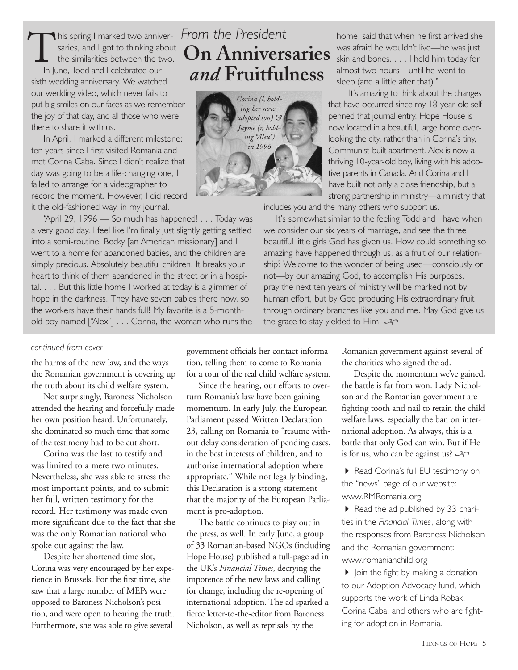his spring I marked two anniversaries, and I got to thinking about the similarities between the two. In June, Todd and I celebrated our sixth wedding anniversary. We watched our wedding video, which never fails to put big smiles on our faces as we remember the joy of that day, and all those who were there to share it with us.  $\prod_{\mathsf{init}}$ 

In April, I marked a different milestone: ten years since I first visited Romania and met Corina Caba. Since I didn't realize that day was going to be a life-changing one, I failed to arrange for a videographer to record the moment. However, I did record it the old-fashioned way, in my journal.

"April 29, 1996 — So much has happened! . . . Today was a very good day. I feel like I'm finally just slightly getting settled into a semi-routine. Becky [an American missionary] and I went to a home for abandoned babies, and the children are simply precious. Absolutely beautiful children. It breaks your heart to think of them abandoned in the street or in a hospital. . . . But this little home I worked at today is a glimmer of hope in the darkness. They have seven babies there now, so the workers have their hands full! My favorite is a 5-monthold boy named ["Alex"] . . . Corina, the woman who runs the

#### *continued from cover*

the harms of the new law, and the ways the Romanian government is covering up the truth about its child welfare system.

Not surprisingly, Baroness Nicholson attended the hearing and forcefully made her own position heard. Unfortunately, she dominated so much time that some of the testimony had to be cut short.

Corina was the last to testify and was limited to a mere two minutes. Nevertheless, she was able to stress the most important points, and to submit her full, written testimony for the record. Her testimony was made even more significant due to the fact that she was the only Romanian national who spoke out against the law.

Despite her shortened time slot, Corina was very encouraged by her experience in Brussels. For the first time, she saw that a large number of MEPs were opposed to Baroness Nicholson's position, and were open to hearing the truth. Furthermore, she was able to give several

#### *From the President* **On Anniversaries**  *and* **Fruitfulness**



home, said that when he first arrived she was afraid he wouldn't live—he was just skin and bones. . . . I held him today for almost two hours—until he went to sleep (and a little after that)!"

It's amazing to think about the changes that have occurred since my 18-year-old self penned that journal entry. Hope House is now located in a beautiful, large home overlooking the city, rather than in Corina's tiny, Communist-built apartment. Alex is now a thriving 10-year-old boy, living with his adoptive parents in Canada. And Corina and I have built not only a close friendship, but a strong partnership in ministry—a ministry that

includes you and the many others who support us.

It's somewhat similar to the feeling Todd and I have when we consider our six years of marriage, and see the three beautiful little girls God has given us. How could something so amazing have happened through us, as a fruit of our relationship? Welcome to the wonder of being used—consciously or not—by our amazing God, to accomplish His purposes. I pray the next ten years of ministry will be marked not by human effort, but by God producing His extraordinary fruit through ordinary branches like you and me. May God give us the grace to stay yielded to Him.  $\rightarrow$ 

government officials her contact information, telling them to come to Romania for a tour of the real child welfare system.

Since the hearing, our efforts to overturn Romania's law have been gaining momentum. In early July, the European Parliament passed Written Declaration 23, calling on Romania to "resume without delay consideration of pending cases, in the best interests of children, and to authorise international adoption where appropriate." While not legally binding, this Declaration is a strong statement that the majority of the European Parliament is pro-adoption.

The battle continues to play out in the press, as well. In early June, a group of 33 Romanian-based NGOs (including Hope House) published a full-page ad in the UK's *Financial Times*, decrying the impotence of the new laws and calling for change, including the re-opening of international adoption. The ad sparked a fierce letter-to-the-editor from Baroness Nicholson, as well as reprisals by the

Romanian government against several of the charities who signed the ad.

Despite the momentum we've gained, the battle is far from won. Lady Nicholson and the Romanian government are fighting tooth and nail to retain the child welfare laws, especially the ban on international adoption. As always, this is a battle that only God can win. But if He is for us, who can be against us?  $\rightarrow$ 

Read Corina's full EU testimony on the "news" page of our website: www.RMRomania.org

 $\triangleright$  Read the ad published by 33 charities in the *Financial Times*, along with the responses from Baroness Nicholson and the Romanian government: www.romanianchild.org

 $\triangleright$  Join the fight by making a donation to our Adoption Advocacy fund, which supports the work of Linda Robak, Corina Caba, and others who are fighting for adoption in Romania.